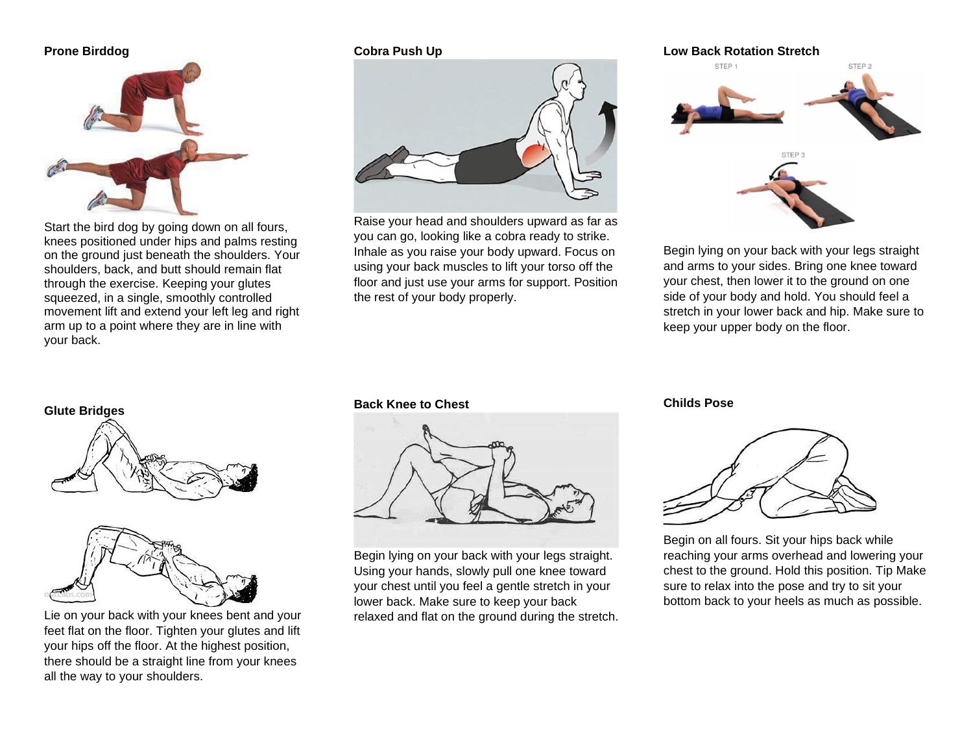# **Prone Birddog**



Start the bird dog by going down on all fours, knees positioned under hips and palms resting on the ground just beneath the shoulders. Your shoulders, back, and butt should remain flat through the exercise. Keeping your glutes squeezed, in a single, smoothly controlled movement lift and extend your left leg and right arm up to a point where they are in line with your back.

## **Cobra Push Up**



Raise your head and shoulders upward as far as you can go, looking like a cobra ready to strike. Inhale as you raise your body upward. Focus on using your back muscles to lift your torso off the floor and just use your arms for support. Position the rest of your body properly.



Begin lying on your back with your legs straight and arms to your sides. Bring one knee toward your chest, then lower it to the ground on one side of your body and hold. You should feel a stretch in your lower back and hip. Make sure to keep your upper body on the floor.





Lie on your back with your knees bent and your feet flat on the floor. Tighten your glutes and lift your hips off the floor. At the highest position, there should be a straight line from your knees all the way to your shoulders.

### **Back Knee to Chest**



Begin lying on your back with your legs straight. Using your hands, slowly pull one knee toward your chest until you feel a gentle stretch in your lower back. Make sure to keep your back relaxed and flat on the ground during the stretch.

### **Childs Pose**



Begin on all fours. Sit your hips back while reaching your arms overhead and lowering your chest to the ground. Hold this position. Tip Make sure to relax into the pose and try to sit your bottom back to your heels as much as possible.